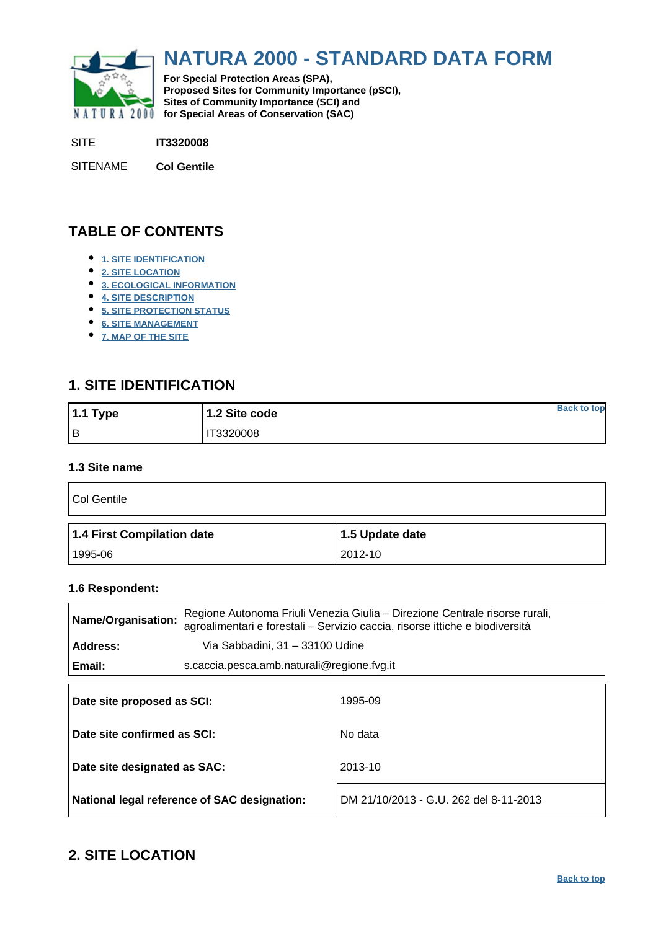<span id="page-0-0"></span>

# **NATURA 2000 - STANDARD DATA FORM**

**For Special Protection Areas (SPA), Proposed Sites for Community Importance (pSCI), Sites of Community Importance (SCI) and NATURA 2000 for Special Areas of Conservation (SAC)** 

SITE **IT3320008**

SITENAME **Col Gentile**

# **TABLE OF CONTENTS**

- **[1. SITE IDENTIFICATION](#page-0-1)**
- **[2. SITE LOCATION](#page-0-2)**
- **[3. ECOLOGICAL INFORMATION](#page-1-0)**
- **[4. SITE DESCRIPTION](#page-4-0)**
- **[5. SITE PROTECTION STATUS](#page-5-0)**
- **[6. SITE MANAGEMENT](#page-6-0)**
- **[7. MAP OF THE SITE](#page-6-1)**

# <span id="page-0-1"></span>**1. SITE IDENTIFICATION**

| 1.1 Type | 1.2 Site code   | <b>Back to top</b> |
|----------|-----------------|--------------------|
| Iв       | <b>T3320008</b> |                    |

#### **1.3 Site name**

| Col Gentile                |                 |
|----------------------------|-----------------|
|                            |                 |
| 1.4 First Compilation date | 1.5 Update date |

#### **1.6 Respondent:**

| Name/Organisation:           |                                            | Regione Autonoma Friuli Venezia Giulia – Direzione Centrale risorse rurali,<br>agroalimentari e forestali - Servizio caccia, risorse ittiche e biodiversità |  |  |  |  |
|------------------------------|--------------------------------------------|-------------------------------------------------------------------------------------------------------------------------------------------------------------|--|--|--|--|
| Address:                     | Via Sabbadini, 31 - 33100 Udine            |                                                                                                                                                             |  |  |  |  |
| Email:                       | s.caccia.pesca.amb.naturali@regione.fvg.it |                                                                                                                                                             |  |  |  |  |
| Date site proposed as SCI:   |                                            | 1995-09                                                                                                                                                     |  |  |  |  |
| Date site confirmed as SCI:  |                                            | No data                                                                                                                                                     |  |  |  |  |
| Date site designated as SAC: |                                            | 2013-10                                                                                                                                                     |  |  |  |  |

**National legal reference of SAC designation:** DM 21/10/2013 - G.U. 262 del 8-11-2013

# <span id="page-0-2"></span>**2. SITE LOCATION**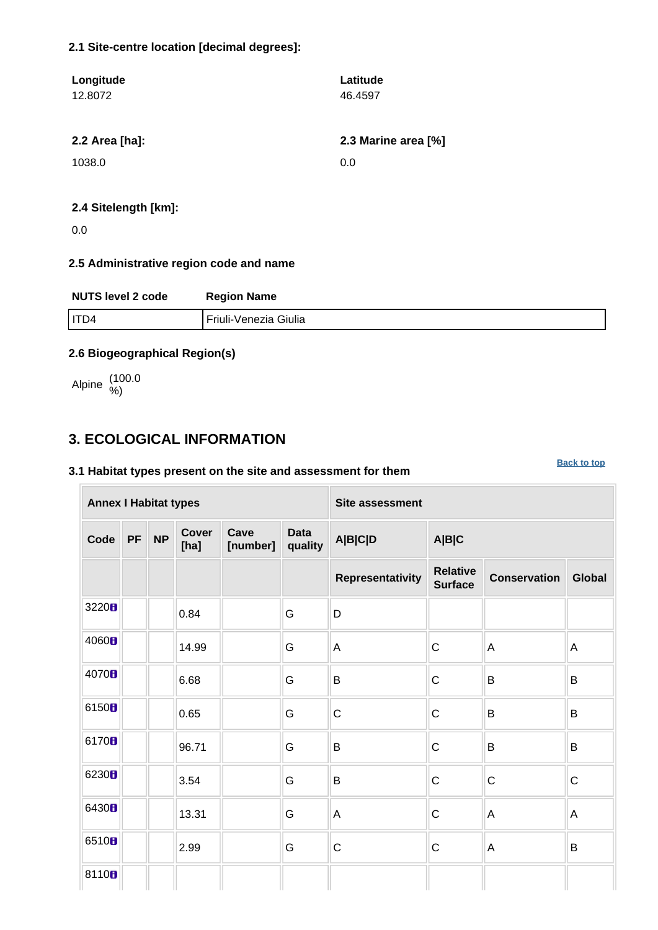#### **2.1 Site-centre location [decimal degrees]:**

| Longitude            | Latitude            |
|----------------------|---------------------|
| 12.8072              | 46.4597             |
|                      |                     |
| 2.2 Area [ha]:       | 2.3 Marine area [%] |
| 1038.0               | 0.0                 |
|                      |                     |
| 2.4 Sitelength [km]: |                     |

0.0

#### **2.5 Administrative region code and name**

| <b>NUTS level 2 code</b> | <b>Region Name</b>    |
|--------------------------|-----------------------|
| ITD4                     | Friuli-Venezia Giulia |

#### **2.6 Biogeographical Region(s)**

Alpine (100.0 %)

### <span id="page-1-0"></span>**3. ECOLOGICAL INFORMATION**

#### **3.1 Habitat types present on the site and assessment for them**

**Annex I Habitat types Site assessment Code PF NP Cover [ha] Cave [number] Data quality A|B|C|D A|B|C Representativity Relative Surface Conservation Global** <sup>3220</sup> 0.84 G D 4060 **B** 14.99 G A C A A  $\begin{array}{c|c|c|c|c|c|c|c|c} \hline \multicolumn{1}{c|c|c|c} \multicolumn{1}{c|c|c} \multicolumn{1}{c|c|c} \multicolumn{1}{c|c|c} \multicolumn{1}{c|c|c} \multicolumn{1}{c|c|c} \multicolumn{1}{c|c|c} \multicolumn{1}{c|c|c} \multicolumn{1}{c|c|c} \multicolumn{1}{c|c|c} \multicolumn{1}{c|c|c} \multicolumn{1}{c|c|c} \multicolumn{1}{c|c|c} \multicolumn{1}{c|c|c} \multicolumn{1}{c|c$ <sup>6150</sup> 0.65 G C C B B 6170 **B** B B B B B B B B B <sup>6230</sup> 3.54 G B C C C 6430 **1** 13.31 G A C A A 6510 **B** 2.99 G C C A B 8110<sub>8</sub>

**[Back to top](#page-0-0)**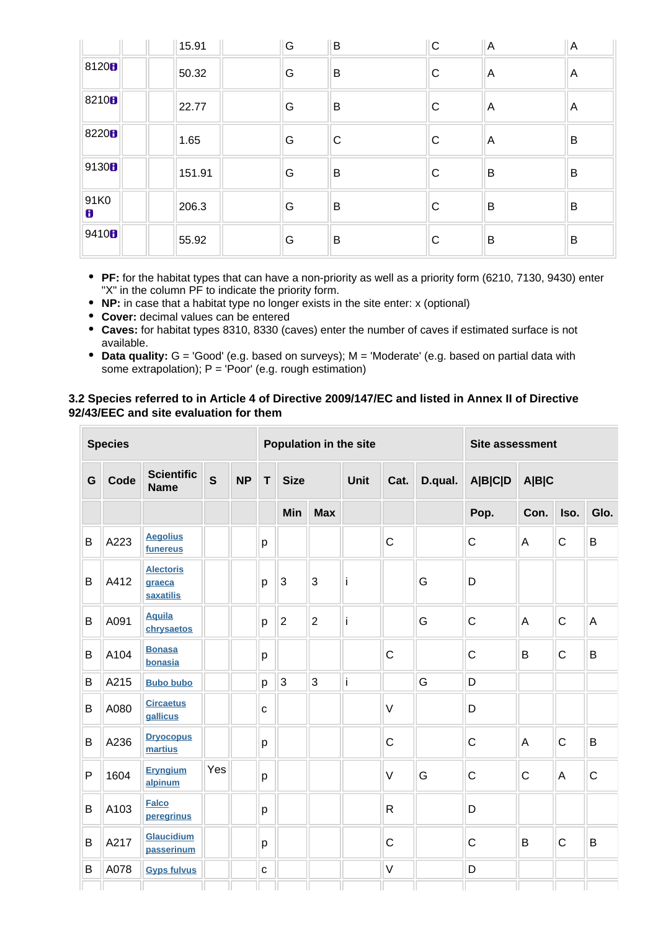|                   | 15.91  | G | $\overline{B}$ | $\mathsf{C}$ | $\overline{A}$ | $\overline{A}$ |
|-------------------|--------|---|----------------|--------------|----------------|----------------|
| 81208             | 50.32  | G | B              | $\mathsf{C}$ | A              | A              |
| 8210 <sub>B</sub> | 22.77  | G | B              | $\mathsf{C}$ | A              | A              |
| 8220 <sub>B</sub> | 1.65   | G | C              | $\mathsf{C}$ | A              | B              |
| 9130 <sub>B</sub> | 151.91 | G | B              | $\mathsf{C}$ | B              | B              |
| 91K0<br>8         | 206.3  | G | B              | $\mathsf{C}$ | B              | B              |
| 9410H             | 55.92  | G | B              | $\mathsf{C}$ | B              | B              |

- **PF:** for the habitat types that can have a non-priority as well as a priority form (6210, 7130, 9430) enter "X" in the column PF to indicate the priority form.
- **NP:** in case that a habitat type no longer exists in the site enter: x (optional)
- **Cover:** decimal values can be entered
- **Caves:** for habitat types 8310, 8330 (caves) enter the number of caves if estimated surface is not available.
- **Data quality:** G = 'Good' (e.g. based on surveys); M = 'Moderate' (e.g. based on partial data with some extrapolation);  $P = 'Poor'$  (e.g. rough estimation)

#### **3.2 Species referred to in Article 4 of Directive 2009/147/EC and listed in Annex II of Directive 92/43/EEC and site evaluation for them**

|              | <b>Species</b> |                                         |              |           | Population in the site |                |                     |   | Site assessment |                         |              |              |              |             |
|--------------|----------------|-----------------------------------------|--------------|-----------|------------------------|----------------|---------------------|---|-----------------|-------------------------|--------------|--------------|--------------|-------------|
| G            | Code           | <b>Scientific</b><br><b>Name</b>        | $\mathbf{s}$ | <b>NP</b> | T.<br><b>Size</b>      |                | <b>Unit</b><br>Cat. |   | D.qual.         | <b>A B C D</b><br>A B C |              |              |              |             |
|              |                |                                         |              |           |                        | Min            | <b>Max</b>          |   |                 |                         | Pop.         | Con.         | Iso.         | Glo.        |
| B            | A223           | <b>Aegolius</b><br>funereus             |              |           | p                      |                |                     |   | $\mathsf{C}$    |                         | $\mathsf{C}$ | A            | $\mathsf{C}$ | B           |
| B            | A412           | <b>Alectoris</b><br>graeca<br>saxatilis |              |           | p                      | $\overline{3}$ | 3                   | j |                 | G                       | D            |              |              |             |
| B            | A091           | <b>Aquila</b><br>chrysaetos             |              |           | p                      | $\overline{2}$ | $\overline{2}$      | Ť |                 | G                       | $\mathsf C$  | A            | $\mathsf{C}$ | A           |
| B            | A104           | <b>Bonasa</b><br>bonasia                |              |           | p                      |                |                     |   | $\mathsf C$     |                         | $\mathsf C$  | B            | $\mathbf C$  | B           |
| B            | A215           | <b>Bubo bubo</b>                        |              |           | p                      | $\overline{3}$ | 3                   | İ |                 | G                       | D            |              |              |             |
| $\sf B$      | A080           | <b>Circaetus</b><br>gallicus            |              |           | $\mathbf{C}$           |                |                     |   | $\vee$          |                         | D            |              |              |             |
| B            | A236           | <b>Dryocopus</b><br>martius             |              |           | p                      |                |                     |   | $\mathsf C$     |                         | $\mathsf{C}$ | A            | $\mathsf{C}$ | B           |
| $\mathsf{P}$ | 1604           | <b>Eryngium</b><br>alpinum              | Yes          |           | p                      |                |                     |   | $\vee$          | G                       | $\mathsf C$  | $\mathsf{C}$ | A            | $\mathsf C$ |
| B            | A103           | <b>Falco</b><br>peregrinus              |              |           | р                      |                |                     |   | $\mathsf{R}$    |                         | D            |              |              |             |
| B            | A217           | Glaucidium<br>passerinum                |              |           | p                      |                |                     |   | $\mathsf C$     |                         | $\mathsf C$  | B            | $\mathbf C$  | B           |
| B            | A078           | <b>Gyps fulvus</b>                      |              |           | $\mathbf C$            |                |                     |   | V               |                         | D            |              |              |             |
|              |                |                                         |              |           |                        |                |                     |   |                 |                         |              |              |              |             |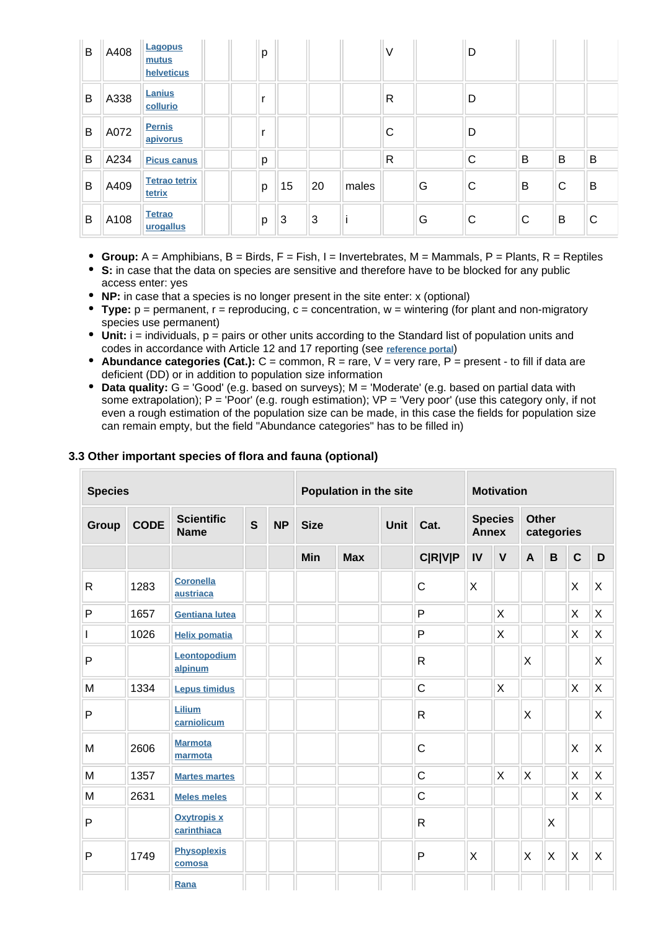| B | A408 | Lagopus<br>mutus<br>helveticus | p |    |    |       | V            |   | D            |   |   |   |
|---|------|--------------------------------|---|----|----|-------|--------------|---|--------------|---|---|---|
| B | A338 | Lanius<br>collurio             |   |    |    |       | R            |   | D            |   |   |   |
| B | A072 | <b>Pernis</b><br>apivorus      |   |    |    |       | С            |   | D            |   |   |   |
| B | A234 | <b>Picus canus</b>             | p |    |    |       | $\mathsf{R}$ |   | $\mathsf{C}$ | B | B | B |
| B | A409 | <b>Tetrao tetrix</b><br>tetrix | p | 15 | 20 | males |              | G | C            | B | C | B |
| B | A108 | <b>Tetrao</b><br>urogallus     | p | 3  | 3  |       |              | G | C            | C | B | C |

- **Group:**  $A =$  Amphibians,  $B =$  Birds,  $F =$  Fish,  $I =$  Invertebrates,  $M =$  Mammals,  $P =$  Plants,  $R =$  Reptiles
- **S:** in case that the data on species are sensitive and therefore have to be blocked for any public access enter: yes
- **NP:** in case that a species is no longer present in the site enter: x (optional)
- **Type:** p = permanent, r = reproducing, c = concentration, w = wintering (for plant and non-migratory species use permanent)
- Unit: i = individuals, p = pairs or other units according to the Standard list of population units and codes in accordance with Article 12 and 17 reporting (see **[reference portal](http://bd.eionet.europa.eu/activities/Natura_2000/reference_portal)**)
- **Abundance categories (Cat.):**  $C =$  common,  $R =$  rare,  $V =$  very rare,  $P =$  present to fill if data are deficient (DD) or in addition to population size information
- **Data quality:** G = 'Good' (e.g. based on surveys); M = 'Moderate' (e.g. based on partial data with some extrapolation); P = 'Poor' (e.g. rough estimation); VP = 'Very poor' (use this category only, if not even a rough estimation of the population size can be made, in this case the fields for population size can remain empty, but the field "Abundance categories" has to be filled in)

| 3.3 Other important species of flora and fauna (optional) |  |  |  |  |  |  |
|-----------------------------------------------------------|--|--|--|--|--|--|
|-----------------------------------------------------------|--|--|--|--|--|--|

| <b>Species</b> |             |                                   |              | Population in the site<br><b>Motivation</b> |             |            |             |                |              |                           |              |                           |             |   |
|----------------|-------------|-----------------------------------|--------------|---------------------------------------------|-------------|------------|-------------|----------------|--------------|---------------------------|--------------|---------------------------|-------------|---|
| Group          | <b>CODE</b> | <b>Scientific</b><br><b>Name</b>  | $\mathbf{s}$ | <b>NP</b>                                   | <b>Size</b> |            | <b>Unit</b> | Cat.           | <b>Annex</b> | <b>Species</b>            | <b>Other</b> | categories                |             |   |
|                |             |                                   |              |                                             | <b>Min</b>  | <b>Max</b> |             | <b>C R V P</b> | IV           | $\mathsf{V}$              | $\mathsf{A}$ | B                         | $\mathbf C$ | D |
| $\mathsf{R}$   | 1283        | <b>Coronella</b><br>austriaca     |              |                                             |             |            |             | C              | X            |                           |              |                           | X           | X |
| $\mathsf{P}$   | 1657        | <b>Gentiana lutea</b>             |              |                                             |             |            |             | P              |              | X                         |              |                           | X           | X |
| $\mathsf{I}$   | 1026        | <b>Helix pomatia</b>              |              |                                             |             |            |             | P              |              | $\boldsymbol{\mathsf{X}}$ |              |                           | X           | X |
| $\mathsf{P}$   |             | Leontopodium<br>alpinum           |              |                                             |             |            |             | $\mathsf{R}$   |              |                           | X            |                           |             | Χ |
| M              | 1334        | <b>Lepus timidus</b>              |              |                                             |             |            |             | C              |              | $\sf X$                   |              |                           | X           | X |
| $\mathsf{P}$   |             | Lilium<br>carniolicum             |              |                                             |             |            |             | $\mathsf{R}$   |              |                           | Χ            |                           |             | X |
| M              | 2606        | <b>Marmota</b><br>marmota         |              |                                             |             |            |             | C              |              |                           |              |                           | X           | X |
| M              | 1357        | <b>Martes martes</b>              |              |                                             |             |            |             | $\mathsf{C}$   |              | X                         | X            |                           | X           | X |
| M              | 2631        | <b>Meles meles</b>                |              |                                             |             |            |             | $\mathsf{C}$   |              |                           |              |                           | X           | X |
| P              |             | <b>Oxytropis x</b><br>carinthiaca |              |                                             |             |            |             | $\mathsf{R}$   |              |                           |              | $\times$                  |             |   |
| P              | 1749        | <b>Physoplexis</b><br>comosa      |              |                                             |             |            |             | P              | X            |                           | X            | $\boldsymbol{\mathsf{X}}$ | X           | X |
|                |             | Rana                              |              |                                             |             |            |             |                |              |                           |              |                           |             |   |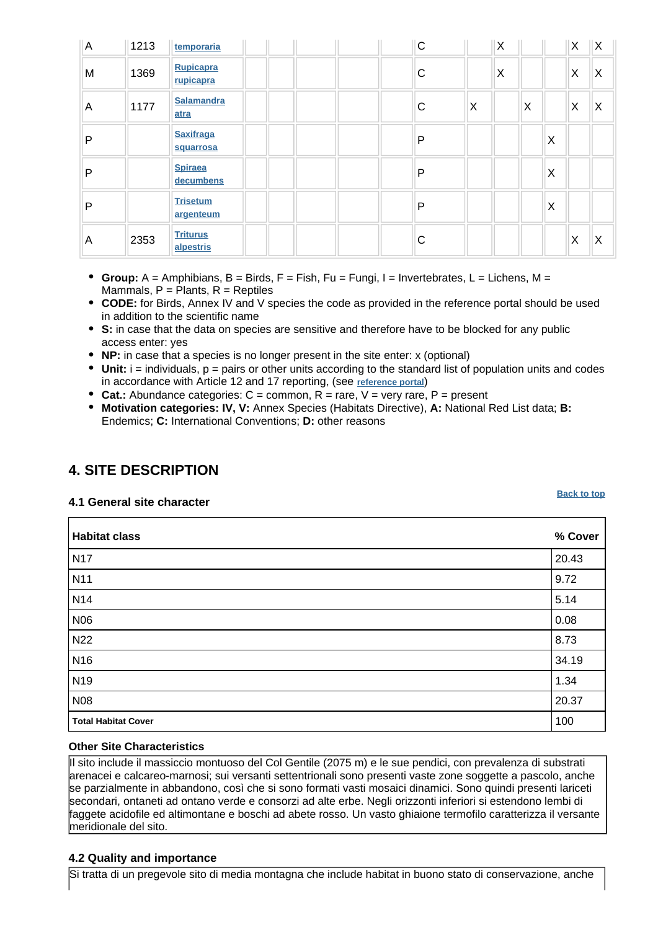| $\overline{A}$ | 1213 | temporaria                    | $\mathsf C$ |   | X |   |          | X           | ΙX       |
|----------------|------|-------------------------------|-------------|---|---|---|----------|-------------|----------|
| M              | 1369 | Rupicapra<br>rupicapra        | C           |   | X |   |          | X           | $\times$ |
| A              | 1177 | <b>Salamandra</b><br>atra     | C           | X |   | X |          | X           | $\times$ |
| P              |      | <b>Saxifraga</b><br>squarrosa | P           |   |   |   | $\times$ |             |          |
| P              |      | <b>Spiraea</b><br>decumbens   | P           |   |   |   | $\times$ |             |          |
| P              |      | <b>Trisetum</b><br>argenteum  | P           |   |   |   | $\times$ |             |          |
| A              | 2353 | <b>Triturus</b><br>alpestris  | С           |   |   |   |          | $\mathsf X$ | X        |

- **Group:**  $A =$  Amphibians,  $B =$  Birds,  $F =$  Fish,  $Fu = F$ ungi,  $I =$  Invertebrates,  $L =$  Lichens,  $M =$ Mammals,  $P =$  Plants,  $R =$  Reptiles
- **CODE:** for Birds, Annex IV and V species the code as provided in the reference portal should be used in addition to the scientific name
- **S:** in case that the data on species are sensitive and therefore have to be blocked for any public access enter: yes
- **NP:** in case that a species is no longer present in the site enter: x (optional)
- $\bullet$  Unit:  $i =$  individuals,  $p =$  pairs or other units according to the standard list of population units and codes in accordance with Article 12 and 17 reporting, (see **[reference portal](http://bd.eionet.europa.eu/activities/Natura_2000/reference_portal)**)
- **Cat.:** Abundance categories: C = common, R = rare, V = very rare, P = present
- **Motivation categories: IV, V:** Annex Species (Habitats Directive), **A:** National Red List data; **B:** Endemics; **C:** International Conventions; **D:** other reasons

# <span id="page-4-0"></span>**4. SITE DESCRIPTION**

**4.1 General site character**

| <b>Habitat class</b>       | % Cover |
|----------------------------|---------|
| <b>N17</b>                 | 20.43   |
| N <sub>11</sub>            | 9.72    |
| N <sub>14</sub>            | 5.14    |
| N06                        | 0.08    |
| N <sub>22</sub>            | 8.73    |
| N <sub>16</sub>            | 34.19   |
| N <sub>19</sub>            | 1.34    |
| <b>N08</b>                 | 20.37   |
| <b>Total Habitat Cover</b> | 100     |

#### **Other Site Characteristics**

Il sito include il massiccio montuoso del Col Gentile (2075 m) e le sue pendici, con prevalenza di substrati arenacei e calcareo-marnosi; sui versanti settentrionali sono presenti vaste zone soggette a pascolo, anche se parzialmente in abbandono, così che si sono formati vasti mosaici dinamici. Sono quindi presenti lariceti secondari, ontaneti ad ontano verde e consorzi ad alte erbe. Negli orizzonti inferiori si estendono lembi di faggete acidofile ed altimontane e boschi ad abete rosso. Un vasto ghiaione termofilo caratterizza il versante meridionale del sito.

#### **4.2 Quality and importance**

Si tratta di un pregevole sito di media montagna che include habitat in buono stato di conservazione, anche

**[Back to top](#page-0-0)**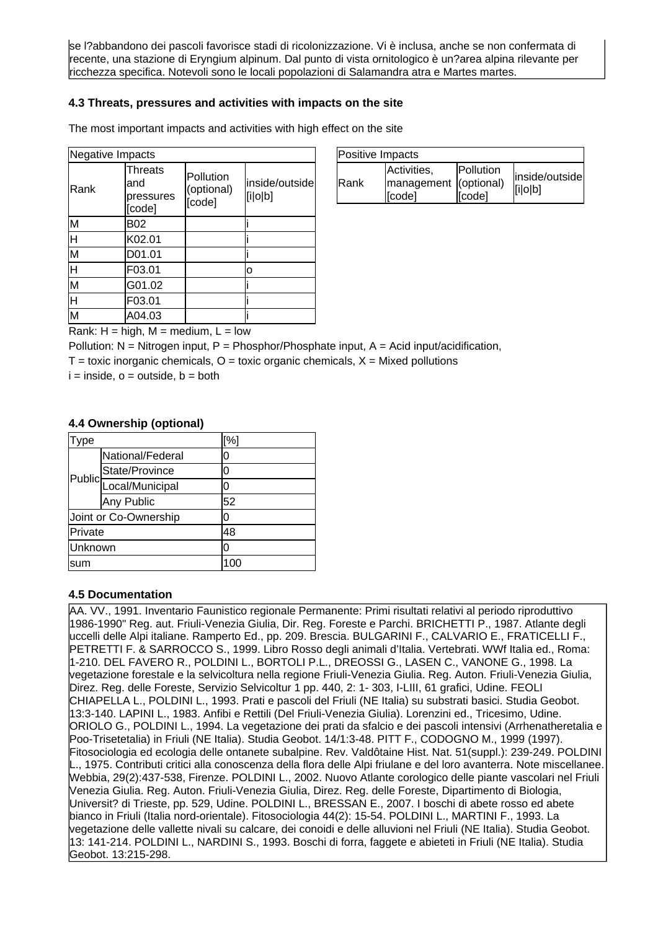se l?abbandono dei pascoli favorisce stadi di ricolonizzazione. Vi è inclusa, anche se non confermata di recente, una stazione di Eryngium alpinum. Dal punto di vista ornitologico è un?area alpina rilevante per ricchezza specifica. Notevoli sono le locali popolazioni di Salamandra atra e Martes martes.

#### **4.3 Threats, pressures and activities with impacts on the site**

The most important impacts and activities with high effect on the site

| Negative Impacts        |                                              |                                   |                           |  |
|-------------------------|----------------------------------------------|-----------------------------------|---------------------------|--|
| Rank                    | <b>Threats</b><br>and<br>pressures<br>[code] | Pollution<br>(optional)<br>[code] | inside/outside<br>[i o b] |  |
| M                       | <b>B02</b>                                   |                                   |                           |  |
| Η                       | K02.01                                       |                                   |                           |  |
| $\overline{\mathsf{M}}$ | D01.01                                       |                                   |                           |  |
| lн                      | F03.01                                       |                                   | o                         |  |
| $\overline{\mathsf{M}}$ | G01.02                                       |                                   |                           |  |
| H                       | F03.01                                       |                                   |                           |  |
| $\overline{\mathsf{M}}$ | A04.03                                       |                                   |                           |  |
|                         | Rank: H – high M – medium                    |                                   | سەل                       |  |

| Positive Impacts |                                                 |                             |                           |
|------------------|-------------------------------------------------|-----------------------------|---------------------------|
| <b>IRank</b>     | Activities.<br>management (optional)<br>licode1 | <b>IPollution</b><br>[code] | inside/outside<br>[i o b] |

Rank:  $H = h$ igh,  $M = \text{medium}$ ,  $L = \text{low}$ 

Pollution:  $N =$  Nitrogen input, P = Phosphor/Phosphate input, A = Acid input/acidification,

 $T =$  toxic inorganic chemicals,  $O =$  toxic organic chemicals,  $X =$  Mixed pollutions

 $i = inside, o = outside, b = both$ 

#### **4.4 Ownership (optional)**

| ype                   |                        | [%] |
|-----------------------|------------------------|-----|
|                       | National/Federal       | ი   |
|                       | State/Province         | N   |
|                       | Public Local/Municipal |     |
|                       | Any Public             | 52  |
| Joint or Co-Ownership |                        | ი   |
| Private               |                        | 48  |
| Unknown               |                        | በ   |
| sum                   |                        | 100 |

#### **4.5 Documentation**

<span id="page-5-0"></span>AA. VV., 1991. Inventario Faunistico regionale Permanente: Primi risultati relativi al periodo riproduttivo 1986-1990" Reg. aut. Friuli-Venezia Giulia, Dir. Reg. Foreste e Parchi. BRICHETTI P., 1987. Atlante degli uccelli delle Alpi italiane. Ramperto Ed., pp. 209. Brescia. BULGARINI F., CALVARIO E., FRATICELLI F., PETRETTI F. & SARROCCO S., 1999. Libro Rosso degli animali d'Italia. Vertebrati. WWf Italia ed., Roma: 1-210. DEL FAVERO R., POLDINI L., BORTOLI P.L., DREOSSI G., LASEN C., VANONE G., 1998. La vegetazione forestale e la selvicoltura nella regione Friuli-Venezia Giulia. Reg. Auton. Friuli-Venezia Giulia, Direz. Reg. delle Foreste, Servizio Selvicoltur 1 pp. 440, 2: 1- 303, I-LIII, 61 grafici, Udine. FEOLI CHIAPELLA L., POLDINI L., 1993. Prati e pascoli del Friuli (NE Italia) su substrati basici. Studia Geobot. 13:3-140. LAPINI L., 1983. Anfibi e Rettili (Del Friuli-Venezia Giulia). Lorenzini ed., Tricesimo, Udine. ORIOLO G., POLDINI L., 1994. La vegetazione dei prati da sfalcio e dei pascoli intensivi (Arrhenatheretalia e Poo-Trisetetalia) in Friuli (NE Italia). Studia Geobot. 14/1:3-48. PITT F., CODOGNO M., 1999 (1997). Fitosociologia ed ecologia delle ontanete subalpine. Rev. Valdôtaine Hist. Nat. 51(suppl.): 239-249. POLDINI L., 1975. Contributi critici alla conoscenza della flora delle Alpi friulane e del loro avanterra. Note miscellanee. Webbia, 29(2):437-538, Firenze. POLDINI L., 2002. Nuovo Atlante corologico delle piante vascolari nel Friuli Venezia Giulia. Reg. Auton. Friuli-Venezia Giulia, Direz. Reg. delle Foreste, Dipartimento di Biologia, Universit? di Trieste, pp. 529, Udine. POLDINI L., BRESSAN E., 2007. I boschi di abete rosso ed abete bianco in Friuli (Italia nord-orientale). Fitosociologia 44(2): 15-54. POLDINI L., MARTINI F., 1993. La vegetazione delle vallette nivali su calcare, dei conoidi e delle alluvioni nel Friuli (NE Italia). Studia Geobot. 13: 141-214. POLDINI L., NARDINI S., 1993. Boschi di forra, faggete e abieteti in Friuli (NE Italia). Studia Geobot. 13:215-298.